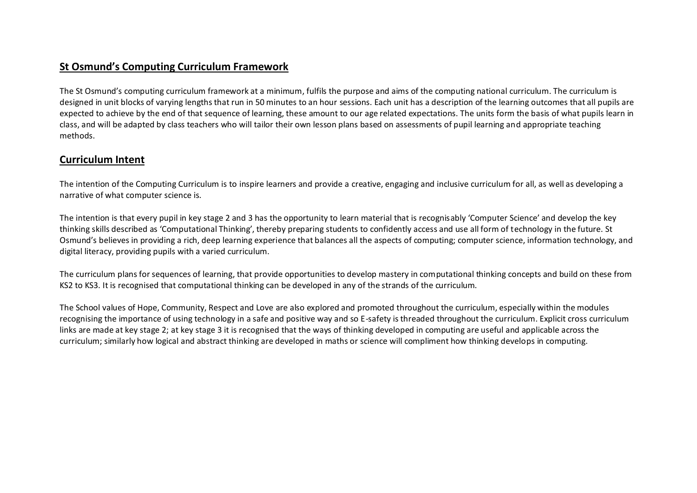# **St Osmund's Computing Curriculum Framework**

The St Osmund's computing curriculum framework at a minimum, fulfils the purpose and aims of the computing national curriculum. The curriculum is designed in unit blocks of varying lengths that run in 50 minutes to an hour sessions. Each unit has a description of the learning outcomes that all pupils are expected to achieve by the end of that sequence of learning, these amount to our age related expectations. The units form the basis of what pupils learn in class, and will be adapted by class teachers who will tailor their own lesson plans based on assessments of pupil learning and appropriate teaching methods.

# **Curriculum Intent**

The intention of the Computing Curriculum is to inspire learners and provide a creative, engaging and inclusive curriculum for all, as well as developing a narrative of what computer science is.

The intention is that every pupil in key stage 2 and 3 has the opportunity to learn material that is recognisably 'Computer Science' and develop the key thinking skills described as 'Computational Thinking', thereby preparing students to confidently access and use all form of technology in the future. St Osmund's believes in providing a rich, deep learning experience that balances all the aspects of computing; computer science, information technology, and digital literacy, providing pupils with a varied curriculum.

The curriculum plans for sequences of learning, that provide opportunities to develop mastery in computational thinking concepts and build on these from KS2 to KS3. It is recognised that computational thinking can be developed in any of the strands of the curriculum.

The School values of Hope, Community, Respect and Love are also explored and promoted throughout the curriculum, especially within the modules recognising the importance of using technology in a safe and positive way and so E-safety is threaded throughout the curriculum. Explicit cross curriculum links are made at key stage 2; at key stage 3 it is recognised that the ways of thinking developed in computing are useful and applicable across the curriculum; similarly how logical and abstract thinking are developed in maths or science will compliment how thinking develops in computing.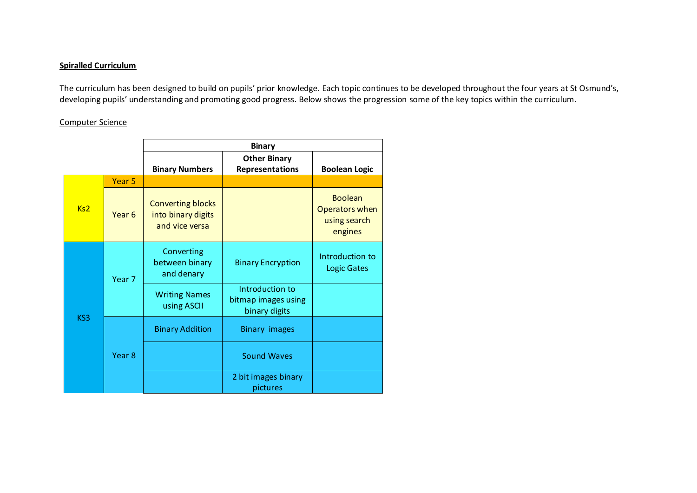## **Spiralled Curriculum**

The curriculum has been designed to build on pupils' prior knowledge. Each topic continues to be developed throughout the four years at St Osmund's, developing pupils' understanding and promoting good progress. Below shows the progression some of the key topics within the curriculum.

## Computer Science

|     |                   | <b>Binary</b>                                                    |                                                         |                                                             |  |
|-----|-------------------|------------------------------------------------------------------|---------------------------------------------------------|-------------------------------------------------------------|--|
|     |                   | <b>Binary Numbers</b>                                            | <b>Other Binary</b><br>Representations                  | <b>Boolean Logic</b>                                        |  |
| Ks2 | Year <sub>5</sub> |                                                                  |                                                         |                                                             |  |
|     | Year <sub>6</sub> | <b>Converting blocks</b><br>into binary digits<br>and vice versa |                                                         | <b>Boolean</b><br>Operators when<br>using search<br>engines |  |
| KS3 | Year <sub>7</sub> | Converting<br>between binary<br>and denary                       | <b>Binary Encryption</b>                                | Introduction to<br><b>Logic Gates</b>                       |  |
|     |                   | <b>Writing Names</b><br>using ASCII                              | Introduction to<br>bitmap images using<br>binary digits |                                                             |  |
|     | Year 8            | <b>Binary Addition</b>                                           | <b>Binary images</b>                                    |                                                             |  |
|     |                   |                                                                  | <b>Sound Waves</b>                                      |                                                             |  |
|     |                   |                                                                  | 2 bit images binary<br>pictures                         |                                                             |  |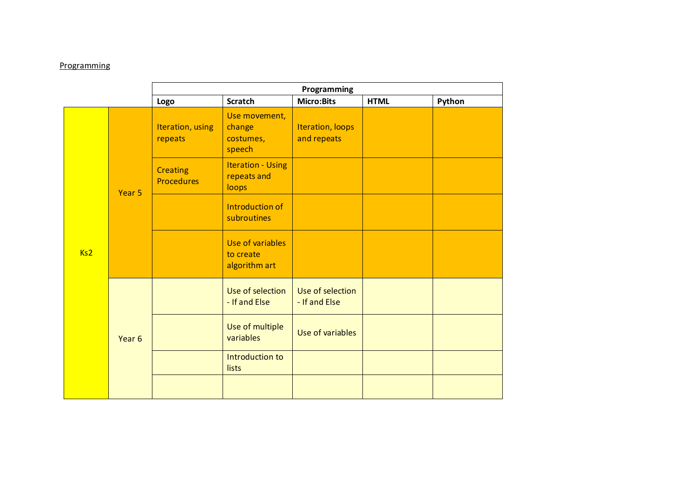## **Programming**

|     |                   | Programming                          |                                                  |                                   |             |        |  |
|-----|-------------------|--------------------------------------|--------------------------------------------------|-----------------------------------|-------------|--------|--|
|     |                   | Logo                                 | <b>Scratch</b>                                   | <b>Micro:Bits</b>                 | <b>HTML</b> | Python |  |
| Ks2 | Year <sub>5</sub> | Iteration, using<br>repeats          | Use movement,<br>change<br>costumes,<br>speech   | Iteration, loops<br>and repeats   |             |        |  |
|     |                   | <b>Creating</b><br><b>Procedures</b> | <b>Iteration - Using</b><br>repeats and<br>loops |                                   |             |        |  |
|     |                   |                                      | Introduction of<br>subroutines                   |                                   |             |        |  |
|     |                   |                                      | Use of variables<br>to create<br>algorithm art   |                                   |             |        |  |
|     | Year <sub>6</sub> |                                      | Use of selection<br>- If and Else                | Use of selection<br>- If and Else |             |        |  |
|     |                   |                                      | Use of multiple<br>variables                     | Use of variables                  |             |        |  |
|     |                   |                                      | Introduction to<br>lists                         |                                   |             |        |  |
|     |                   |                                      |                                                  |                                   |             |        |  |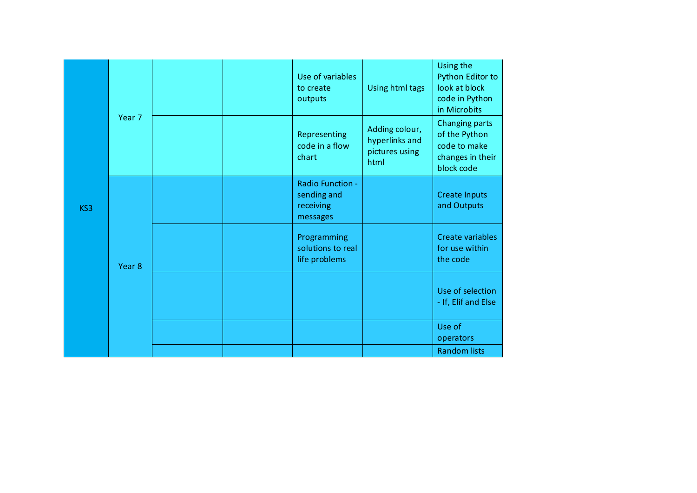| KS3 | Year <sub>7</sub> |  | Use of variables<br>to create<br>outputs                 | Using html tags                                            | Using the<br>Python Editor to<br>look at block<br>code in Python<br>in Microbits  |
|-----|-------------------|--|----------------------------------------------------------|------------------------------------------------------------|-----------------------------------------------------------------------------------|
|     |                   |  | Representing<br>code in a flow<br>chart                  | Adding colour,<br>hyperlinks and<br>pictures using<br>html | Changing parts<br>of the Python<br>code to make<br>changes in their<br>block code |
|     | Year <sub>8</sub> |  | Radio Function -<br>sending and<br>receiving<br>messages |                                                            | <b>Create Inputs</b><br>and Outputs                                               |
|     |                   |  | Programming<br>solutions to real<br>life problems        |                                                            | Create variables<br>for use within<br>the code                                    |
|     |                   |  |                                                          |                                                            | Use of selection<br>- If, Elif and Else                                           |
|     |                   |  |                                                          |                                                            | Use of<br>operators                                                               |
|     |                   |  |                                                          |                                                            | <b>Random lists</b>                                                               |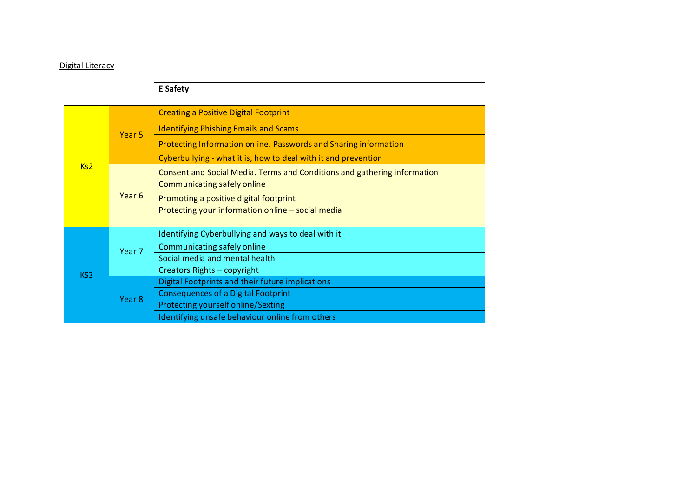# Digital Literacy

|     |                   | <b>E</b> Safety                                                          |  |  |  |
|-----|-------------------|--------------------------------------------------------------------------|--|--|--|
|     |                   |                                                                          |  |  |  |
| Ks2 | Year <sub>5</sub> | <b>Creating a Positive Digital Footprint</b>                             |  |  |  |
|     |                   | <b>Identifying Phishing Emails and Scams</b>                             |  |  |  |
|     |                   | Protecting Information online. Passwords and Sharing information         |  |  |  |
|     |                   | Cyberbullying - what it is, how to deal with it and prevention           |  |  |  |
|     | Year <sub>6</sub> | Consent and Social Media. Terms and Conditions and gathering information |  |  |  |
|     |                   | Communicating safely online                                              |  |  |  |
|     |                   | Promoting a positive digital footprint                                   |  |  |  |
|     |                   | Protecting your information online - social media                        |  |  |  |
| KS3 | Year <sub>7</sub> | Identifying Cyberbullying and ways to deal with it                       |  |  |  |
|     |                   | Communicating safely online                                              |  |  |  |
|     |                   | Social media and mental health                                           |  |  |  |
|     |                   | Creators Rights - copyright                                              |  |  |  |
|     | Year 8            | Digital Footprints and their future implications                         |  |  |  |
|     |                   | <b>Consequences of a Digital Footprint</b>                               |  |  |  |
|     |                   | Protecting yourself online/Sexting                                       |  |  |  |
|     |                   | Identifying unsafe behaviour online from others                          |  |  |  |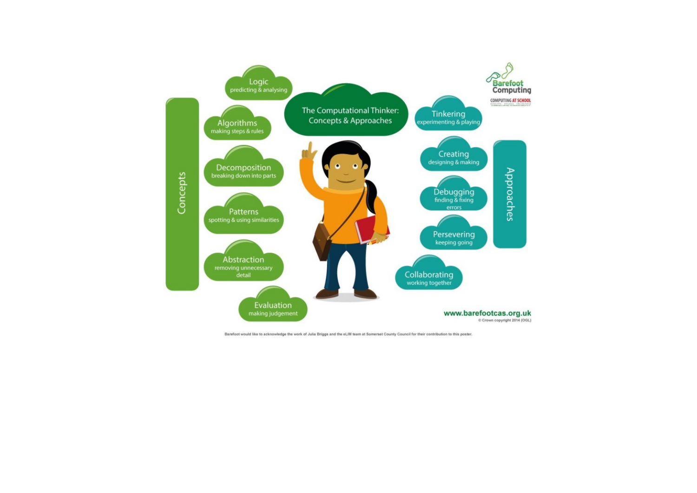

Barefoot would like to acknowledge the work of Julia Briggs and the eLIM team at Somerset County Council for their contribution to this poster.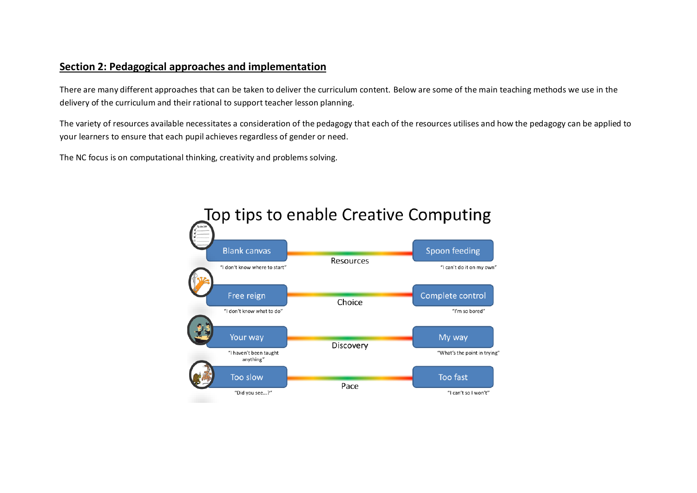# **Section 2: Pedagogical approaches and implementation**

There are many different approaches that can be taken to deliver the curriculum content. Below are some of the main teaching methods we use in the delivery of the curriculum and their rational to support teacher lesson planning.

The variety of resources available necessitates a consideration of the pedagogy that each of the resources utilises and how the pedagogy can be applied to your learners to ensure that each pupil achieves regardless of gender or need.

The NC focus is on computational thinking, creativity and problems solving.

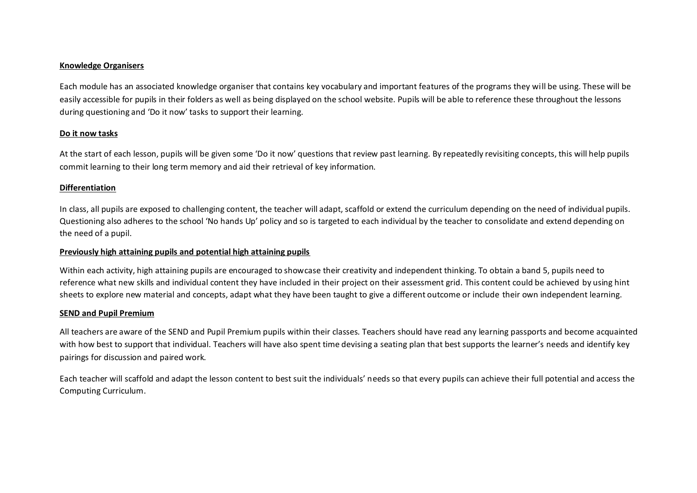#### **Knowledge Organisers**

Each module has an associated knowledge organiser that contains key vocabulary and important features of the programs they will be using. These will be easily accessible for pupils in their folders as well as being displayed on the school website. Pupils will be able to reference these throughout the lessons during questioning and 'Do it now' tasks to support their learning.

### **Do it now tasks**

At the start of each lesson, pupils will be given some 'Do it now' questions that review past learning. By repeatedly revisiting concepts, this will help pupils commit learning to their long term memory and aid their retrieval of key information.

### **Differentiation**

In class, all pupils are exposed to challenging content, the teacher will adapt, scaffold or extend the curriculum depending on the need of individual pupils. Questioning also adheres to the school 'No hands Up' policy and so is targeted to each individual by the teacher to consolidate and extend depending on the need of a pupil.

### **Previously high attaining pupils and potential high attaining pupils**

Within each activity, high attaining pupils are encouraged to showcase their creativity and independent thinking. To obtain a band 5, pupils need to reference what new skills and individual content they have included in their project on their assessment grid. This content could be achieved by using hint sheets to explore new material and concepts, adapt what they have been taught to give a different outcome or include their own independent learning.

### **SEND and Pupil Premium**

All teachers are aware of the SEND and Pupil Premium pupils within their classes. Teachers should have read any learning passports and become acquainted with how best to support that individual. Teachers will have also spent time devising a seating plan that best supports the learner's needs and identify key pairings for discussion and paired work.

Each teacher will scaffold and adapt the lesson content to best suit the individuals' needs so that every pupils can achieve their full potential and access the Computing Curriculum.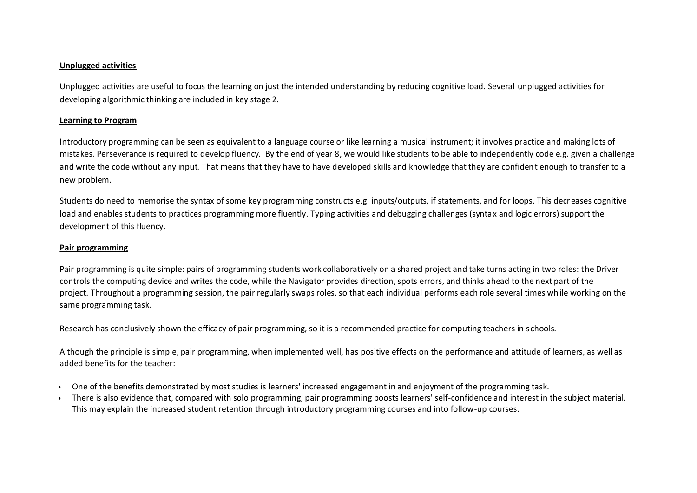### **Unplugged activities**

Unplugged activities are useful to focus the learning on just the intended understanding by reducing cognitive load. Several unplugged activities for developing algorithmic thinking are included in key stage 2.

#### **Learning to Program**

Introductory programming can be seen as equivalent to a language course or like learning a musical instrument; it involves practice and making lots of mistakes. Perseverance is required to develop fluency. By the end of year 8, we would like students to be able to independently code e.g. given a challenge and write the code without any input. That means that they have to have developed skills and knowledge that they are confident enough to transfer to a new problem.

Students do need to memorise the syntax of some key programming constructs e.g. inputs/outputs, if statements, and for loops. This decreases cognitive load and enables students to practices programming more fluently. Typing activities and debugging challenges (syntax and logic errors) support the development of this fluency.

#### **Pair programming**

Pair programming is quite simple: pairs of programming students work collaboratively on a shared project and take turns acting in two roles: the Driver controls the computing device and writes the code, while the Navigator provides direction, spots errors, and thinks ahead to the next part of the project. Throughout a programming session, the pair regularly swaps roles, so that each individual performs each role several times while working on the same programming task.

Research has conclusively shown the efficacy of pair programming, so it is a recommended practice for computing teachers in s chools.

Although the principle is simple, pair programming, when implemented well, has positive effects on the performance and attitude of learners, as well as added benefits for the teacher:

- One of the benefits demonstrated by most studies is learners' increased engagement in and enjoyment of the programming task.
- There is also evidence that, compared with solo programming, pair programming boosts learners' self-confidence and interest in the subject material. This may explain the increased student retention through introductory programming courses and into follow-up courses.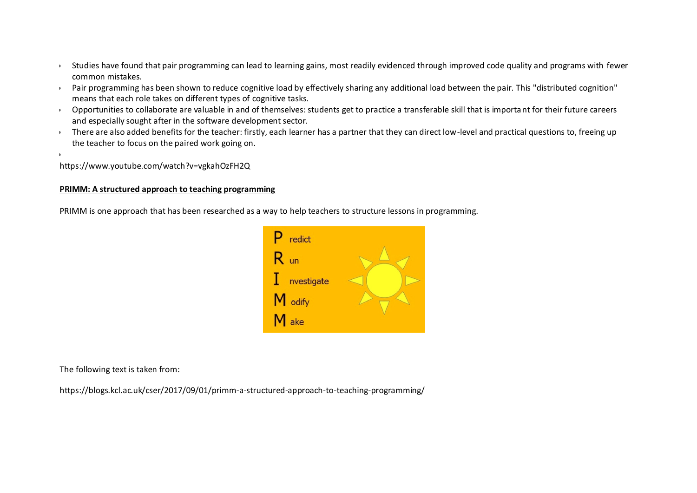- Studies have found that pair programming can lead to learning gains, most readily evidenced through improved code quality and programs with fewer common mistakes.
- Pair programming has been shown to reduce cognitive load by effectively sharing any additional load between the pair. This "distributed cognition" means that each role takes on different types of cognitive tasks.
- Opportunities to collaborate are valuable in and of themselves: students get to practice a transferable skill that is important for their future careers and especially sought after in the software development sector.
- There are also added benefits for the teacher: firstly, each learner has a partner that they can direct low-level and practical questions to, freeing up the teacher to focus on the paired work going on.

<https://www.youtube.com/watch?v=vgkahOzFH2Q>

 $\cdot$ 

## **PRIMM: A structured approach to teaching programming**

PRIMM is one approach that has been researched as a way to help teachers to structure lessons in programming.



The following text is taken from:

<https://blogs.kcl.ac.uk/cser/2017/09/01/primm-a-structured-approach-to-teaching-programming/>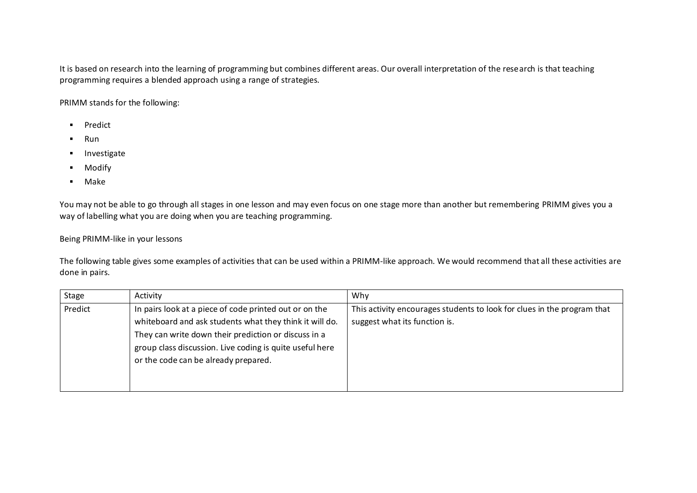It is based on research into the learning of programming but combines different areas. Our overall interpretation of the research is that teaching programming requires a blended approach using a range of strategies.

PRIMM stands for the following:

- **Predict**
- Run
- **Investigate**
- **Modify**
- Make

You may not be able to go through all stages in one lesson and may even focus on one stage more than another but remembering PRIMM gives you a way of labelling what you are doing when you are teaching programming.

Being PRIMM-like in your lessons

The following table gives some examples of activities that can be used within a PRIMM-like approach. We would recommend that all these activities are done in pairs.

| Stage   | Activity                                                                                                                                                                                                                                                                      | Why                                                                                                      |
|---------|-------------------------------------------------------------------------------------------------------------------------------------------------------------------------------------------------------------------------------------------------------------------------------|----------------------------------------------------------------------------------------------------------|
| Predict | In pairs look at a piece of code printed out or on the<br>whiteboard and ask students what they think it will do.<br>They can write down their prediction or discuss in a<br>group class discussion. Live coding is quite useful here<br>or the code can be already prepared. | This activity encourages students to look for clues in the program that<br>suggest what its function is. |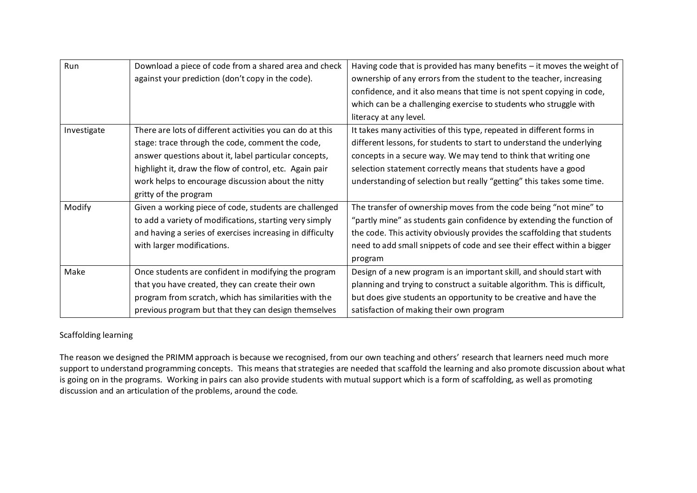| Run         | Download a piece of code from a shared area and check     | Having code that is provided has many benefits - it moves the weight of   |
|-------------|-----------------------------------------------------------|---------------------------------------------------------------------------|
|             | against your prediction (don't copy in the code).         | ownership of any errors from the student to the teacher, increasing       |
|             |                                                           | confidence, and it also means that time is not spent copying in code,     |
|             |                                                           | which can be a challenging exercise to students who struggle with         |
|             |                                                           | literacy at any level.                                                    |
| Investigate | There are lots of different activities you can do at this | It takes many activities of this type, repeated in different forms in     |
|             | stage: trace through the code, comment the code,          | different lessons, for students to start to understand the underlying     |
|             | answer questions about it, label particular concepts,     | concepts in a secure way. We may tend to think that writing one           |
|             | highlight it, draw the flow of control, etc. Again pair   | selection statement correctly means that students have a good             |
|             | work helps to encourage discussion about the nitty        | understanding of selection but really "getting" this takes some time.     |
|             | gritty of the program                                     |                                                                           |
| Modify      | Given a working piece of code, students are challenged    | The transfer of ownership moves from the code being "not mine" to         |
|             | to add a variety of modifications, starting very simply   | "partly mine" as students gain confidence by extending the function of    |
|             | and having a series of exercises increasing in difficulty | the code. This activity obviously provides the scaffolding that students  |
|             | with larger modifications.                                | need to add small snippets of code and see their effect within a bigger   |
|             |                                                           | program                                                                   |
| Make        | Once students are confident in modifying the program      | Design of a new program is an important skill, and should start with      |
|             | that you have created, they can create their own          | planning and trying to construct a suitable algorithm. This is difficult, |
|             | program from scratch, which has similarities with the     | but does give students an opportunity to be creative and have the         |
|             | previous program but that they can design themselves      | satisfaction of making their own program                                  |

# Scaffolding learning

The reason we designed the PRIMM approach is because we recognised, from our own teaching and others' research that learners need much more support to understand programming concepts. This means that strategies are needed that scaffold the learning and also promote discussion about what is going on in the programs. Working in pairs can also provide students with mutual support which is a form of scaffolding, as well as promoting discussion and an articulation of the problems, around the code.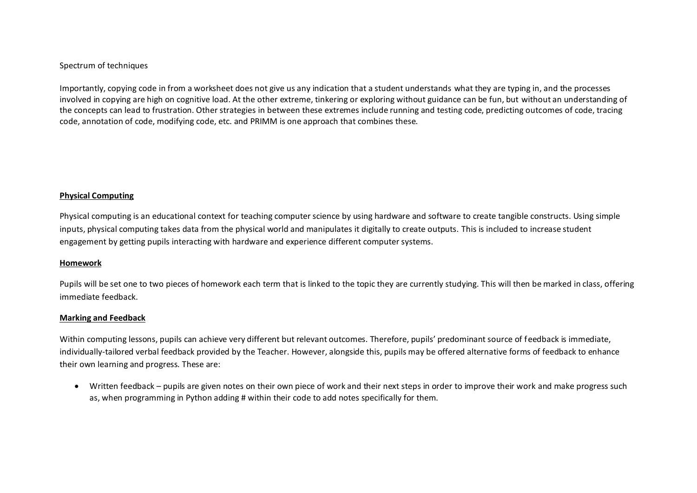### Spectrum of techniques

Importantly, copying code in from a worksheet does not give us any indication that a student understands what they are typing in, and the processes involved in copying are high on cognitive load. At the other extreme, tinkering or exploring without guidance can be fun, but without an understanding of the concepts can lead to frustration. Other strategies in between these extremes include running and testing code, predicting outcomes of code, tracing code, annotation of code, modifying code, etc. and PRIMM is one approach that combines these.

#### **Physical Computing**

Physical computing is an educational context for teaching computer science by using hardware and software to create tangible constructs. Using simple inputs, physical computing takes data from the physical world and manipulates it digitally to create outputs. This is included to increase student engagement by getting pupils interacting with hardware and experience different computer systems.

#### **Homework**

Pupils will be set one to two pieces of homework each term that is linked to the topic they are currently studying. This will then be marked in class, offering immediate feedback.

#### **Marking and Feedback**

Within computing lessons, pupils can achieve very different but relevant outcomes. Therefore, pupils' predominant source of feedback is immediate, individually-tailored verbal feedback provided by the Teacher. However, alongside this, pupils may be offered alternative forms of feedback to enhance their own learning and progress. These are:

 Written feedback – pupils are given notes on their own piece of work and their next steps in order to improve their work and make progress such as, when programming in Python adding # within their code to add notes specifically for them.